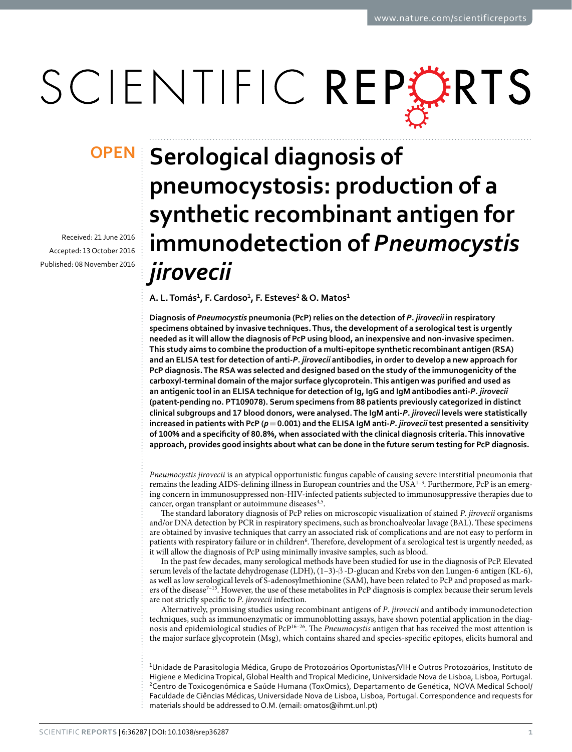# SCIENTIFIC REPERTS

Received: 21 June 2016 accepted: 13 October 2016 Published: 08 November 2016

## **Serological diagnosis of OPENpneumocystosis: production of a synthetic recombinant antigen for immunodetection of** *Pneumocystis jirovecii*

**A. L.Tomás<sup>1</sup>, F. Cardoso<sup>1</sup>, F. Esteves<sup>2</sup> & O. Matos<sup>1</sup>**

**Diagnosis of** *Pneumocystis* **pneumonia (PcP) relies on the detection of** *P***.** *jirovecii* **in respiratory specimens obtained by invasive techniques. Thus, the development of a serological test is urgently needed as it will allow the diagnosis of PcP using blood, an inexpensive and non-invasive specimen. This study aims to combine the production of a multi-epitope synthetic recombinant antigen (RSA) and an ELISA test for detection of anti-***P***.** *jirovecii* **antibodies, in order to develop a new approach for PcP diagnosis. The RSA was selected and designed based on the study of the immunogenicity of the carboxyl-terminal domain of the major surface glycoprotein. This antigen was purified and used as an antigenic tool in an ELISA technique for detection of Ig, IgG and IgM antibodies anti-***P***.** *jirovecii* **(patent-pending no. PT109078). Serum specimens from 88 patients previously categorized in distinct clinical subgroups and 17 blood donors, were analysed. The IgM anti-***P***.** *jirovecii* **levels were statistically increased in patients with PcP (***p***=0.001) and the ELISA IgM anti-***P***.** *jirovecii* **test presented a sensitivity of 100% and a specificity of 80.8%, when associated with the clinical diagnosis criteria. This innovative approach, provides good insights about what can be done in the future serum testing for PcP diagnosis.**

*Pneumocystis jirovecii* is an atypical opportunistic fungus capable of causing severe interstitial pneumonia that remains the leading AIDS-defining illness in European countries and the USA<sup>1-3</sup>. Furthermore, PcP is an emerging concern in immunosuppressed non-HIV-infected patients subjected to immunosuppressive therapies due to cancer, organ transplant or autoimmune diseases $4.5$ .

The standard laboratory diagnosis of PcP relies on microscopic visualization of stained *P*. *jirovecii* organisms and/or DNA detection by PCR in respiratory specimens, such as bronchoalveolar lavage (BAL). These specimens are obtained by invasive techniques that carry an associated risk of complications and are not easy to perform in patients with respiratory failure or in children<sup>6</sup>. Therefore, development of a serological test is urgently needed, as it will allow the diagnosis of PcP using minimally invasive samples, such as blood.

In the past few decades, many serological methods have been studied for use in the diagnosis of PcP. Elevated serum levels of the lactate dehydrogenase (LDH), (1–3)-β -D-glucan and Krebs von den Lungen-6 antigen (KL-6), as well as low serological levels of S-adenosylmethionine (SAM), have been related to PcP and proposed as markers of the disease<sup>7-15</sup>. However, the use of these metabolites in PcP diagnosis is complex because their serum levels are not strictly specific to *P*. *jirovecii* infection.

Alternatively, promising studies using recombinant antigens of *P*. *jirovecii* and antibody immunodetection techniques, such as immunoenzymatic or immunoblotting assays, have shown potential application in the diagnosis and epidemiological studies of Pc[P16–26.](#page-6-5) The *Pneumocystis* antigen that has received the most attention is the major surface glycoprotein (Msg), which contains shared and species-specific epitopes, elicits humoral and

<sup>1</sup>Unidade de Parasitologia Médica, Grupo de Protozoários Oportunistas/VIH e Outros Protozoários, Instituto de Higiene e Medicina Tropical, Global Health and Tropical Medicine, Universidade Nova de Lisboa, Lisboa, Portugal. <sup>2</sup>Centro de Toxicogenómica e Saúde Humana (ToxOmics), Departamento de Genética, NOVA Medical School/ Faculdade de Ciências Médicas, Universidade Nova de Lisboa, Lisboa, Portugal. Correspondence and requests for materials should be addressed to O.M. (email: [omatos@ihmt.unl.pt\)](mailto:omatos@ihmt.unl.pt)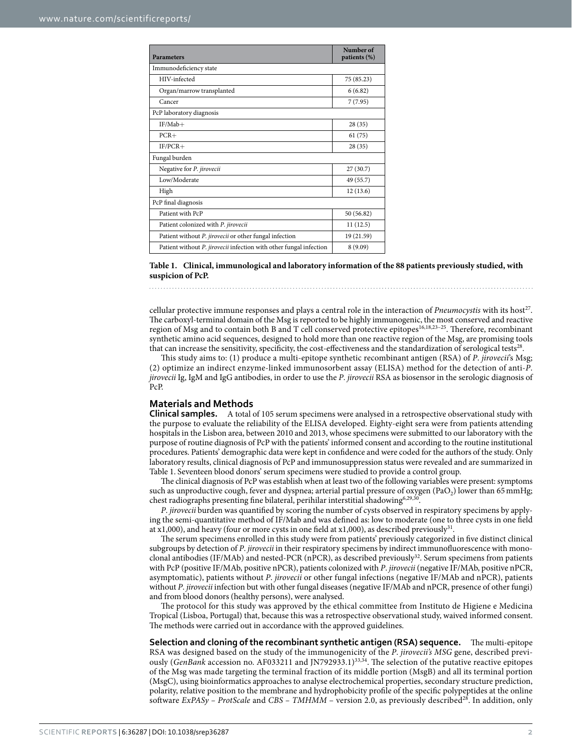<span id="page-1-0"></span>

| <b>Parameters</b>                                                  | Number of<br>patients (%) |
|--------------------------------------------------------------------|---------------------------|
| Immunodeficiency state                                             |                           |
| HIV-infected                                                       | 75 (85.23)                |
| Organ/marrow transplanted                                          | 6(6.82)                   |
| Cancer                                                             | 7(7.95)                   |
| PcP laboratory diagnosis                                           |                           |
| $IF/Mab+$                                                          | 28(35)                    |
| $PCR+$                                                             | 61(75)                    |
| $IF/PCR+$                                                          | 28(35)                    |
| Fungal burden                                                      |                           |
| Negative for P. jirovecii                                          | 27(30.7)                  |
| Low/Moderate                                                       | 49 (55.7)                 |
| High                                                               | 12(13.6)                  |
| PcP final diagnosis                                                |                           |
| Patient with PcP                                                   | 50 (56.82)                |
| Patient colonized with P. jirovecii                                | 11(12.5)                  |
| Patient without P. jirovecii or other fungal infection             | 19 (21.59)                |
| Patient without P. jirovecii infection with other fungal infection | 8(9.09)                   |

**Table 1. Clinical, immunological and laboratory information of the 88 patients previously studied, with suspicion of PcP.**

cellular protective immune responses and plays a central role in the interaction of *Pneumocystis* with its host<sup>27</sup>. The carboxyl-terminal domain of the Msg is reported to be highly immunogenic, the most conserved and reactive region of Msg and to contain both B and T cell conserved protective epitopes<sup>[16,](#page-6-5)[18](#page-7-1),23-25</sup>. Therefore, recombinant synthetic amino acid sequences, designed to hold more than one reactive region of the Msg, are promising tools that can increase the sensitivity, specificity, the cost-effectiveness and the standardization of serological tests<sup>28</sup>.

This study aims to: (1) produce a multi-epitope synthetic recombinant antigen (RSA) of *P*. *jirovecii*'s Msg; (2) optimize an indirect enzyme-linked immunosorbent assay (ELISA) method for the detection of anti-*P*. *jirovecii* Ig, IgM and IgG antibodies, in order to use the *P*. *jirovecii* RSA as biosensor in the serologic diagnosis of PcP.

### **Materials and Methods**

**Clinical samples.** A total of 105 serum specimens were analysed in a retrospective observational study with the purpose to evaluate the reliability of the ELISA developed. Eighty-eight sera were from patients attending hospitals in the Lisbon area, between 2010 and 2013, whose specimens were submitted to our laboratory with the purpose of routine diagnosis of PcP with the patients' informed consent and according to the routine institutional procedures. Patients' demographic data were kept in confidence and were coded for the authors of the study. Only laboratory results, clinical diagnosis of PcP and immunosuppression status were revealed and are summarized in [Table 1](#page-1-0). Seventeen blood donors' serum specimens were studied to provide a control group.

The clinical diagnosis of PcP was establish when at least two of the following variables were present: symptoms such as unproductive cough, fever and dyspnea; arterial partial pressure of oxygen (PaO<sub>2</sub>) lower than 65 mmHg; chest radiographs presenting fine bilateral, perihilar interstitial shadowing<sup>6,[29](#page-7-4),[30](#page-7-5)</sup>.

*P*. *jirovecii* burden was quantified by scoring the number of cysts observed in respiratory specimens by applying the semi-quantitative method of IF/Mab and was defined as: low to moderate (one to three cysts in one field at  $x1,000$ ), and heavy (four or more cysts in one field at  $x1,000$ ), as described previously<sup>[31](#page-7-6)</sup>.

The serum specimens enrolled in this study were from patients' previously categorized in five distinct clinical subgroups by detection of *P*. *jirovecii* in their respiratory specimens by indirect immunofluorescence with mono-clonal antibodies (IF/MAb) and nested-PCR (nPCR), as described previously<sup>[32](#page-7-7)</sup>. Serum specimens from patients with PcP (positive IF/MAb, positive nPCR), patients colonized with *P*. *jirovecii* (negative IF/MAb, positive nPCR, asymptomatic), patients without *P*. *jirovecii* or other fungal infections (negative IF/MAb and nPCR), patients without *P*. *jirovecii* infection but with other fungal diseases (negative IF/MAb and nPCR, presence of other fungi) and from blood donors (healthy persons), were analysed.

The protocol for this study was approved by the ethical committee from Instituto de Higiene e Medicina Tropical (Lisboa, Portugal) that, because this was a retrospective observational study, waived informed consent. The methods were carried out in accordance with the approved guidelines.

**Selection and cloning of the recombinant synthetic antigen (RSA) sequence.** The multi-epitope RSA was designed based on the study of the immunogenicity of the *P*. *jirovecii's MSG* gene, described previously (*GenBank* accession no. AF033211 and JN792933.1[\)33](#page-7-8),[34](#page-7-9). The selection of the putative reactive epitopes of the Msg was made targeting the terminal fraction of its middle portion (MsgB) and all its terminal portion (MsgC), using bioinformatics approaches to analyse electrochemical properties, secondary structure prediction, polarity, relative position to the membrane and hydrophobicity profile of the specific polypeptides at the online software *ExPASy – ProtScale* and *CBS – TMHMM* – version 2.0, as previously described<sup>28</sup>. In addition, only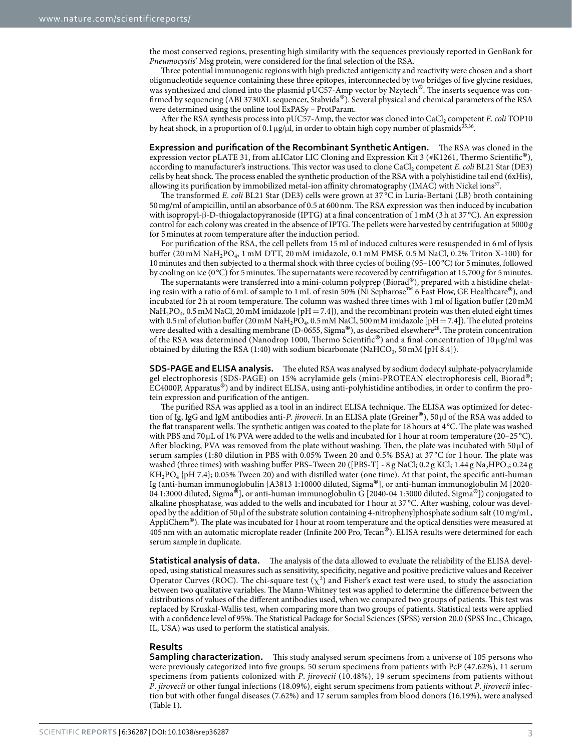the most conserved regions, presenting high similarity with the sequences previously reported in GenBank for *Pneumocystis*' Msg protein, were considered for the final selection of the RSA.

Three potential immunogenic regions with high predicted antigenicity and reactivity were chosen and a short oligonucleotide sequence containing these three epitopes, interconnected by two bridges of five glycine residues, was synthesized and cloned into the plasmid pUC57-Amp vector by Nzytech®. The inserts sequence was confirmed by sequencing (ABI 3730XL sequencer, Stabvida®). Several physical and chemical parameters of the RSA were determined using the online tool ExPASy – ProtParam.

After the RSA synthesis process into pUC57-Amp, the vector was cloned into CaCl<sub>2</sub> competent *E*. *coli* TOP10 by heat shock, in a proportion of 0.1  $\mu$ g/ $\mu$ , in order to obtain high copy number of plasmids<sup>[35](#page-7-10),[36](#page-7-11)</sup>.

**Expression and purification of the Recombinant Synthetic Antigen.** The RSA was cloned in the expression vector pLATE 31, from aLICator LIC Cloning and Expression Kit 3 (#K1261, Thermo Scientific®), according to manufacturer's instructions. This vector was used to clone CaCl<sub>2</sub> competent *E*. *coli* BL21 Star (DE3) cells by heat shock. The process enabled the synthetic production of the RSA with a polyhistidine tail end (6xHis), allowing its purification by immobilized metal-ion affinity chromatography (IMAC) with Nickel ions<sup>[37](#page-7-12)</sup>.

The transformed *E*. *coli* BL21 Star (DE3) cells were grown at 37 °C in Luria-Bertani (LB) broth containing 50mg/ml of ampicillin, until an absorbance of 0.5 at 600nm. The RSA expression was then induced by incubation with isopropyl-β-D-thiogalactopyranoside (IPTG) at a final concentration of 1mM (3h at 37 °C). An expression control for each colony was created in the absence of IPTG. The pellets were harvested by centrifugation at 5000 *g* for 5 minutes at room temperature after the induction period.

For purification of the RSA, the cell pellets from 15ml of induced cultures were resuspended in 6ml of lysis buffer (20 mM NaH<sub>2</sub>PO<sub>4</sub>, 1 mM DTT, 20 mM imidazole, 0.1 mM PMSF, 0.5 M NaCl, 0.2% Triton X-100) for 10minutes and then subjected to a thermal shock with three cycles of boiling (95–100 °C) for 5minutes, followed by cooling on ice (0°C) for 5minutes. The supernatants were recovered by centrifugation at 15,700*g* for 5minutes.

The supernatants were transferred into a mini-column polyprep (Biorad®), prepared with a histidine chelating resin with a ratio of 6mL of sample to 1mL of resin 50% (Ni Sepharose™ 6 Fast Flow, GE Healthcare®), and incubated for 2h at room temperature. The column was washed three times with 1ml of ligation buffer (20mM NaH<sub>2</sub>PO<sub>4</sub>, 0.5 mM NaCl, 20 mM imidazole [pH = 7.4]), and the recombinant protein was then eluted eight times with 0.5 ml of elution buffer (20 mM NaH<sub>2</sub>PO<sub>4</sub>, 0.5 mM NaCl, 500 mM imidazole [pH = 7.4]). The eluted proteins were desalted with a desalting membrane (D-0655, Sigma<sup>®</sup>), as described elsewhere<sup>28</sup>. The protein concentration of the RSA was determined (Nanodrop 1000, Thermo Scientific®) and a final concentration of 10 <sup>μ</sup>g/ml was obtained by diluting the RSA (1:40) with sodium bicarbonate (NaHCO $_3$ , 50 mM [pH 8.4]).

**SDS-PAGE and ELISA analysis.** The eluted RSA was analysed by sodium dodecyl sulphate-polyacrylamide gel electrophoresis (SDS-PAGE) on 15% acrylamide gels (mini-PROTEAN electrophoresis cell, Biorad®; EC4000P, Apparatus®) and by indirect ELISA, using anti-polyhistidine antibodies, in order to confirm the protein expression and purification of the antigen.

The purified RSA was applied as a tool in an indirect ELISA technique. The ELISA was optimized for detection of Ig, IgG and IgM antibodies anti-*P*. *jirovecii*. In an ELISA plate (Greiner®), 50 <sup>μ</sup>l of the RSA was added to the flat transparent wells. The synthetic antigen was coated to the plate for 18hours at 4 °C. The plate was washed with PBS and 70 $\mu$ L of 1% PVA were added to the wells and incubated for 1 hour at room temperature (20–25 °C). After blocking, PVA was removed from the plate without washing. Then, the plate was incubated with 50  $\mu$ l of serum samples (1:80 dilution in PBS with 0.05% Tween 20 and 0.5% BSA) at 37 °C for 1 hour. The plate was washed (three times) with washing buffer PBS–Tween 20 ([PBS-T] - 8 g NaCl; 0.2 g KCl; 1.44 g Na<sub>2</sub>HPO<sub>4</sub>; 0.24 g KH2PO4 {pH 7.4}; 0.05% Tween 20) and with distilled water (one time). At that point, the specific anti-human Ig (anti-human immunoglobulin [A3813 1:10000 diluted, Sigma®], or anti-human immunoglobulin M [2020- 04 1:3000 diluted, Sigma<sup>®</sup>], or anti-human immunoglobulin G [2040-04 1:3000 diluted, Sigma<sup>®</sup>]) conjugated to alkaline phosphatase, was added to the wells and incubated for 1hour at 37 °C. After washing, colour was developed by the addition of 50μl of the substrate solution containing 4-nitrophenylphosphate sodium salt (10mg/mL, AppliChem®). The plate was incubated for 1hour at room temperature and the optical densities were measured at 405nm with an automatic microplate reader (Infinite 200 Pro, Tecan®). ELISA results were determined for each serum sample in duplicate.

**Statistical analysis of data.** The analysis of the data allowed to evaluate the reliability of the ELISA developed, using statistical measures such as sensitivity, specificity, negative and positive predictive values and Receiver Operator Curves (ROC). The chi-square test  $(\chi^2)$  and Fisher's exact test were used, to study the association between two qualitative variables. The Mann-Whitney test was applied to determine the difference between the distributions of values of the different antibodies used, when we compared two groups of patients. This test was replaced by Kruskal-Wallis test, when comparing more than two groups of patients. Statistical tests were applied with a confidence level of 95%. The Statistical Package for Social Sciences (SPSS) version 20.0 (SPSS Inc., Chicago, IL, USA) was used to perform the statistical analysis.

#### **Results**

**Sampling characterization.** This study analysed serum specimens from a universe of 105 persons who were previously categorized into five groups. 50 serum specimens from patients with PcP (47.62%), 11 serum specimens from patients colonized with *P*. *jirovecii* (10.48%), 19 serum specimens from patients without *P*. *jirovecii* or other fungal infections (18.09%), eight serum specimens from patients without *P*. *jirovecii* infection but with other fungal diseases (7.62%) and 17 serum samples from blood donors (16.19%), were analysed ([Table 1](#page-1-0)).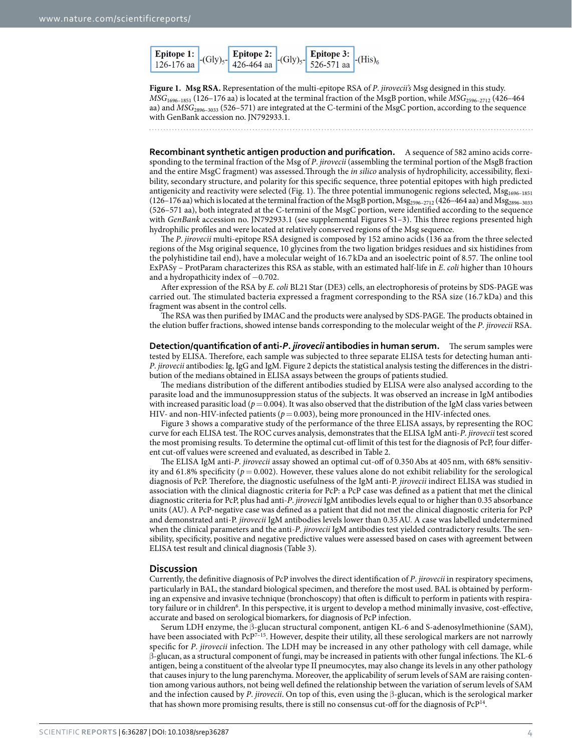

<span id="page-3-0"></span>**Figure 1. Msg RSA.** Representation of the multi-epitope RSA of *P*. *jirovecii's* Msg designed in this study. *MSG*<sub>1696–1851</sub> (126–176 aa) is located at the terminal fraction of the MsgB portion, while *MSG*<sub>2596–2712</sub> (426–464 aa) and *MSG*<sub>2896-3033</sub> (526-571) are integrated at the C-termini of the MsgC portion, according to the sequence with GenBank accession no. JN792933.1.

**Recombinant synthetic antigen production and purification.** A sequence of 582 amino acids corresponding to the terminal fraction of the Msg of *P*. *jirovecii* (assembling the terminal portion of the MsgB fraction and the entire MsgC fragment) was assessed.Through the *in silico* analysis of hydrophilicity, accessibility, flexibility, secondary structure, and polarity for this specific sequence, three potential epitopes with high predicted antigenicity and reactivity were selected [\(Fig. 1](#page-3-0)). The three potential immunogenic regions selected, Msg<sub>1696-1851</sub> (126–176 aa) which is located at the terminal fraction of the MsgB portion,  $Msg_{296-2712}$  (426–464 aa) and  $Msg_{2896-3033}$ (526–571 aa), both integrated at the C-termini of the MsgC portion, were identified according to the sequence with *GenBank* accession no. JN792933.1 (see supplemental Figures S1-3). This three regions presented high hydrophilic profiles and were located at relatively conserved regions of the Msg sequence.

The *P*. *jirovecii* multi-epitope RSA designed is composed by 152 amino acids (136 aa from the three selected regions of the Msg original sequence, 10 glycines from the two ligation bridges residues and six histidines from the polyhistidine tail end), have a molecular weight of 16.7 kDa and an isoelectric point of 8.57. The online tool ExPASy – ProtParam characterizes this RSA as stable, with an estimated half-life in *E*. *coli* higher than 10hours and a hydropathicity index of −0.702.

After expression of the RSA by *E*. *coli* BL21 Star (DE3) cells, an electrophoresis of proteins by SDS-PAGE was carried out. The stimulated bacteria expressed a fragment corresponding to the RSA size (16.7 kDa) and this fragment was absent in the control cells.

The RSA was then purified by IMAC and the products were analysed by SDS-PAGE. The products obtained in the elution buffer fractions, showed intense bands corresponding to the molecular weight of the *P*. *jirovecii* RSA.

**Detection/quantification of anti-***P***.** *jirovecii* **antibodies in human serum.** The serum samples were tested by ELISA. Therefore, each sample was subjected to three separate ELISA tests for detecting human anti-*P*. *jirovecii* antibodies: Ig, IgG and IgM. [Figure 2](#page-4-0) depicts the statistical analysis testing the differences in the distribution of the medians obtained in ELISA assays between the groups of patients studied.

The medians distribution of the different antibodies studied by ELISA were also analysed according to the parasite load and the immunosuppression status of the subjects. It was observed an increase in IgM antibodies with increased parasitic load ( $p = 0.004$ ). It was also observed that the distribution of the IgM class varies between HIV- and non-HIV-infected patients ( $p=0.003$ ), being more pronounced in the HIV-infected ones.

[Figure 3](#page-4-1) shows a comparative study of the performance of the three ELISA assays, by representing the ROC curve for each ELISA test. The ROC curves analysis, demonstrates that the ELISA IgM anti-*P*. *jirovecii* test scored the most promising results. To determine the optimal cut-off limit of this test for the diagnosis of PcP, four different cut-off values were screened and evaluated, as described in [Table 2.](#page-5-0)

The ELISA IgM anti-*P*. *jirovecii* assay showed an optimal cut-off of 0.350Abs at 405 nm, with 68% sensitivity and 61.8% specificity ( $p = 0.002$ ). However, these values alone do not exhibit reliability for the serological diagnosis of PcP. Therefore, the diagnostic usefulness of the IgM anti-P. *jirovecii* indirect ELISA was studied in association with the clinical diagnostic criteria for PcP: a PcP case was defined as a patient that met the clinical diagnostic criteria for PcP, plus had anti-*P*. *jirovecii* IgM antibodies levels equal to or higher than 0.35 absorbance units (AU). A PcP-negative case was defined as a patient that did not met the clinical diagnostic criteria for PcP and demonstrated anti-P. *jirovecii* IgM antibodies levels lower than 0.35AU. A case was labelled undetermined when the clinical parameters and the anti-*P*. *jirovecii* IgM antibodies test yielded contradictory results. The sensibility, specificity, positive and negative predictive values were assessed based on cases with agreement between ELISA test result and clinical diagnosis [\(Table 3](#page-5-1)).

#### **Discussion**

Currently, the definitive diagnosis of PcP involves the direct identification of *P*. *jirovecii* in respiratory specimens, particularly in BAL, the standard biological specimen, and therefore the most used. BAL is obtained by performing an expensive and invasive technique (bronchoscopy) that often is difficult to perform in patients with respiratory failure or in children<sup>6</sup>. In this perspective, it is urgent to develop a method minimally invasive, cost-effective, accurate and based on serological biomarkers, for diagnosis of PcP infection.

Serum LDH enzyme, the β-glucan structural component, antigen KL-6 and S-adenosylmethionine (SAM), have been associated with PcP<sup>7–15</sup>. However, despite their utility, all these serological markers are not narrowly specific for *P*. *jirovecii* infection. The LDH may be increased in any other pathology with cell damage, while β-glucan, as a structural component of fungi, may be increased in patients with other fungal infections. The KL-6 antigen, being a constituent of the alveolar type II pneumocytes, may also change its levels in any other pathology that causes injury to the lung parenchyma. Moreover, the applicability of serum levels of SAM are raising contention among various authors, not being well defined the relationship between the variation of serum levels of SAM and the infection caused by *P*. *jirovecii*. On top of this, even using the β-glucan, which is the serological marker that has shown more promising results, there is still no consensus cut-off for the diagnosis of PcP[14](#page-6-6).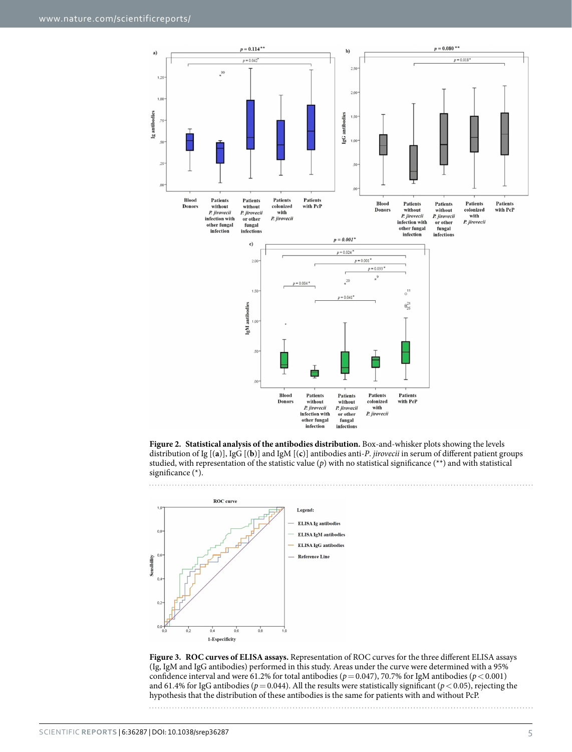

<span id="page-4-0"></span>



<span id="page-4-1"></span>**Figure 3. ROC curves of ELISA assays.** Representation of ROC curves for the three different ELISA assays (Ig, IgM and IgG antibodies) performed in this study. Areas under the curve were determined with a 95% confidence interval and were 61.2% for total antibodies ( $p = 0.047$ ), 70.7% for IgM antibodies ( $p < 0.001$ ) and 61.4% for IgG antibodies ( $p=0.044$ ). All the results were statistically significant ( $p<0.05$ ), rejecting the hypothesis that the distribution of these antibodies is the same for patients with and without PcP.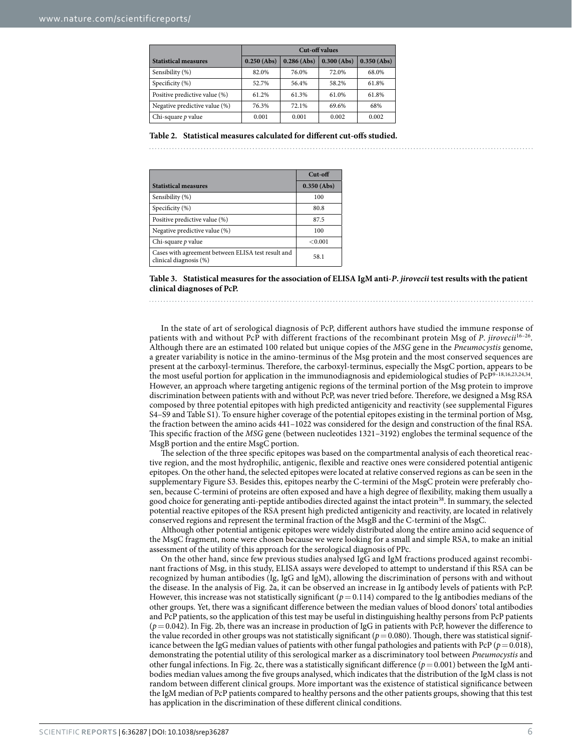<span id="page-5-0"></span>

|                               | Cut-off values |               |            |               |
|-------------------------------|----------------|---------------|------------|---------------|
| <b>Statistical measures</b>   | $0.250$ (Abs)  | $0.286$ (Abs) | 0.300(Abs) | $0.350$ (Abs) |
| Sensibility (%)               | 82.0%          | 76.0%         | 72.0%      | 68.0%         |
| Specificity (%)               | 52.7%          | 56.4%         | 58.2%      | 61.8%         |
| Positive predictive value (%) | 61.2%          | 61.3%         | 61.0%      | 61.8%         |
| Negative predictive value (%) | 76.3%          | 72.1%         | 69.6%      | 68%           |
| Chi-square $p$ value          | 0.001          | 0.001         | 0.002      | 0.002         |

#### **Table 2. Statistical measures calculated for different cut-offs studied.**

<span id="page-5-1"></span>

|                                                                              | $Cut$ -off    |  |  |
|------------------------------------------------------------------------------|---------------|--|--|
| <b>Statistical measures</b>                                                  | $0.350$ (Abs) |  |  |
| Sensibility (%)                                                              | 100           |  |  |
| Specificity (%)                                                              | 80.8          |  |  |
| Positive predictive value (%)                                                | 87.5          |  |  |
| Negative predictive value (%)                                                | 100           |  |  |
| Chi-square p value                                                           | ${<}0.001$    |  |  |
| Cases with agreement between ELISA test result and<br>clinical diagnosis (%) | 58.1          |  |  |

#### **Table 3. Statistical measures for the association of ELISA IgM anti-***P***.** *jirovecii* **test results with the patient clinical diagnoses of PcP.**

In the state of art of serological diagnosis of PcP, different authors have studied the immune response of patients with and without PcP with different fractions of the recombinant protein Msg of *P*. *jirovecii*[16–26.](#page-6-5) Although there are an estimated 100 related but unique copies of the *MSG* gene in the *Pneumocystis* genome, a greater variability is notice in the amino-terminus of the Msg protein and the most conserved sequences are present at the carboxyl-terminus. Therefore, the carboxyl-terminus, especially the MsgC portion, appears to be the most useful portion for application in the immunodiagnosis and epidemiological studies of PcP[9–18,](#page-6-7)[16,](#page-6-5)[23,](#page-7-2)[24,](#page-7-13)[34.](#page-7-9) However, an approach where targeting antigenic regions of the terminal portion of the Msg protein to improve discrimination between patients with and without PcP, was never tried before. Therefore, we designed a Msg RSA composed by three potential epitopes with high predicted antigenicity and reactivity (see supplemental Figures S4–S9 and Table S1). To ensure higher coverage of the potential epitopes existing in the terminal portion of Msg, the fraction between the amino acids 441–1022 was considered for the design and construction of the final RSA. This specific fraction of the *MSG* gene (between nucleotides 1321–3192) englobes the terminal sequence of the MsgB portion and the entire MsgC portion.

The selection of the three specific epitopes was based on the compartmental analysis of each theoretical reactive region, and the most hydrophilic, antigenic, flexible and reactive ones were considered potential antigenic epitopes. On the other hand, the selected epitopes were located at relative conserved regions as can be seen in the supplementary Figure S3. Besides this, epitopes nearby the C-termini of the MsgC protein were preferably chosen, because C-termini of proteins are often exposed and have a high degree of flexibility, making them usually a good choice for generating anti-peptide antibodies directed against the intact protein<sup>[38](#page-7-14)</sup>. In summary, the selected potential reactive epitopes of the RSA present high predicted antigenicity and reactivity, are located in relatively conserved regions and represent the terminal fraction of the MsgB and the C-termini of the MsgC.

Although other potential antigenic epitopes were widely distributed along the entire amino acid sequence of the MsgC fragment, none were chosen because we were looking for a small and simple RSA, to make an initial assessment of the utility of this approach for the serological diagnosis of PPc.

On the other hand, since few previous studies analysed IgG and IgM fractions produced against recombinant fractions of Msg, in this study, ELISA assays were developed to attempt to understand if this RSA can be recognized by human antibodies (Ig, IgG and IgM), allowing the discrimination of persons with and without the disease. In the analysis of [Fig. 2a](#page-4-0), it can be observed an increase in Ig antibody levels of patients with PcP. However, this increase was not statistically significant  $(p= 0.114)$  compared to the Ig antibodies medians of the other groups. Yet, there was a significant difference between the median values of blood donors' total antibodies and PcP patients, so the application of this test may be useful in distinguishing healthy persons from PcP patients  $(p=0.042)$ . In [Fig. 2b,](#page-4-0) there was an increase in production of IgG in patients with PcP, however the difference to the value recorded in other groups was not statistically significant ( $p=0.080$ ). Though, there was statistical significance between the IgG median values of patients with other fungal pathologies and patients with PcP ( $p = 0.018$ ), demonstrating the potential utility of this serological marker as a discriminatory tool between *Pneumocystis* and other fungal infections. In [Fig. 2c](#page-4-0), there was a statistically significant difference  $(p=0.001)$  between the IgM antibodies median values among the five groups analysed, which indicates that the distribution of the IgM class is not random between different clinical groups. More important was the existence of statistical significance between the IgM median of PcP patients compared to healthy persons and the other patients groups, showing that this test has application in the discrimination of these different clinical conditions.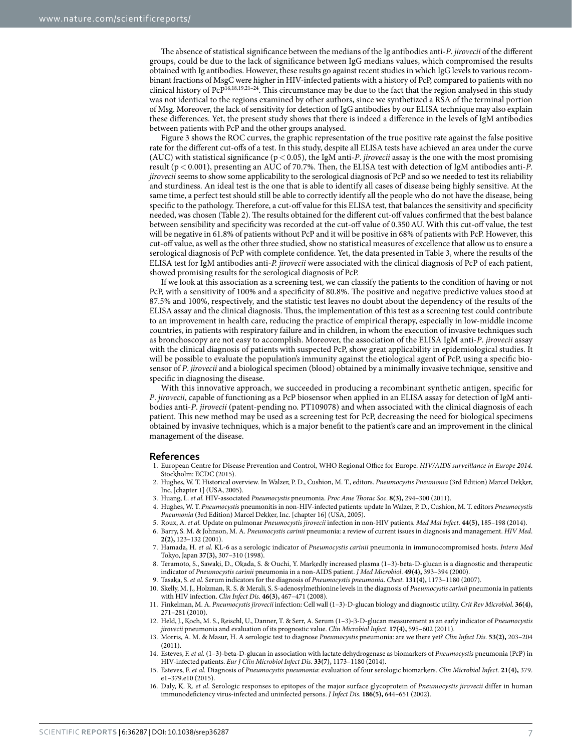The absence of statistical significance between the medians of the Ig antibodies anti-*P*. *jirovecii* of the different groups, could be due to the lack of significance between IgG medians values, which compromised the results obtained with Ig antibodies. However, these results go against recent studies in which IgG levels to various recombinant fractions of MsgC were higher in HIV-infected patients with a history of PcP, compared to patients with no clinical history of PcP<sup>16,[18,](#page-7-1)[19,](#page-7-15)[21–24](#page-7-16)</sup>. This circumstance may be due to the fact that the region analysed in this study was not identical to the regions examined by other authors, since we synthetized a RSA of the terminal portion of Msg. Moreover, the lack of sensitivity for detection of IgG antibodies by our ELISA technique may also explain these differences. Yet, the present study shows that there is indeed a difference in the levels of IgM antibodies between patients with PcP and the other groups analysed.

[Figure 3](#page-4-1) shows the ROC curves, the graphic representation of the true positive rate against the false positive rate for the different cut-offs of a test. In this study, despite all ELISA tests have achieved an area under the curve (AUC) with statistical significance ( $p < 0.05$ ), the IgM anti-*P*. *jirovecii* assay is the one with the most promising result (p< 0.001), presenting an AUC of 70.7%. Then, the ELISA test with detection of IgM antibodies anti-*P*. *jirovecii* seems to show some applicability to the serological diagnosis of PcP and so we needed to test its reliability and sturdiness. An ideal test is the one that is able to identify all cases of disease being highly sensitive. At the same time, a perfect test should still be able to correctly identify all the people who do not have the disease, being specific to the pathology. Therefore, a cut-off value for this ELISA test, that balances the sensitivity and specificity needed, was chosen [\(Table 2\)](#page-5-0). The results obtained for the different cut-off values confirmed that the best balance between sensibility and specificity was recorded at the cut-off value of 0.350AU. With this cut-off value, the test will be negative in 61.8% of patients without PcP and it will be positive in 68% of patients with PcP. However, this cut-off value, as well as the other three studied, show no statistical measures of excellence that allow us to ensure a serological diagnosis of PcP with complete confidence. Yet, the data presented in [Table 3](#page-5-1), where the results of the ELISA test for IgM antibodies anti-*P. jirovecii* were associated with the clinical diagnosis of PcP of each patient, showed promising results for the serological diagnosis of PcP.

If we look at this association as a screening test, we can classify the patients to the condition of having or not PcP, with a sensitivity of 100% and a specificity of 80.8%. The positive and negative predictive values stood at 87.5% and 100%, respectively, and the statistic test leaves no doubt about the dependency of the results of the ELISA assay and the clinical diagnosis. Thus, the implementation of this test as a screening test could contribute to an improvement in health care, reducing the practice of empirical therapy, especially in low-middle income countries, in patients with respiratory failure and in children, in whom the execution of invasive techniques such as bronchoscopy are not easy to accomplish. Moreover, the association of the ELISA IgM anti-*P*. *jirovecii* assay with the clinical diagnosis of patients with suspected PcP, show great applicability in epidemiological studies. It will be possible to evaluate the population's immunity against the etiological agent of PcP, using a specific biosensor of *P*. *jirovecii* and a biological specimen (blood) obtained by a minimally invasive technique, sensitive and specific in diagnosing the disease.

With this innovative approach, we succeeded in producing a recombinant synthetic antigen, specific for *P*. *jirovecii*, capable of functioning as a PcP biosensor when applied in an ELISA assay for detection of IgM antibodies anti-*P*. *jirovecii* (patent-pending no. PT109078) and when associated with the clinical diagnosis of each patient. This new method may be used as a screening test for PcP, decreasing the need for biological specimens obtained by invasive techniques, which is a major benefit to the patient's care and an improvement in the clinical management of the disease.

#### **References**

- <span id="page-6-0"></span>1. European Centre for Disease Prevention and Control, WHO Regional Office for Europe. *HIV/AIDS surveillance in Europe 2014*. Stockholm: ECDC (2015).
- 2. Hughes, W. T. Historical overview. In Walzer, P. D., Cushion, M. T., editors. *Pneumocystis Pneumonia* (3rd Edition) Marcel Dekker, Inc, [chapter 1] (USA, 2005).
- 3. Huang, L. *et al.* HIV-associated *Pneumocystis* pneumonia. *Proc Ame Thorac Soc*. **8(3),** 294–300 (2011).
- <span id="page-6-1"></span>4. Hughes, W. T. *Pneumocystis* pneumonitis in non-HIV-infected patients: update In Walzer, P. D., Cushion, M. T. editors *Pneumocystis Pneumonia* (3rd Edition) Marcel Dekker, Inc. [chapter 16] (USA, 2005).
- <span id="page-6-2"></span>5. Roux, A. *et al.* Update on pulmonar *Pneumocystis jirovecii* infection in non-HIV patients. *Med Mal Infect*. **44(5),** 185–198 (2014).
- <span id="page-6-3"></span>6. Barry, S. M. & Johnson, M. A. *Pneumocystis carinii* pneumonia: a review of current issues in diagnosis and management. *HIV Med*. **2(2),** 123–132 (2001).
- <span id="page-6-4"></span>7. Hamada, H. *et al.* KL-6 as a serologic indicator of *Pneumocystis carinii* pneumonia in immunocompromised hosts. *Intern Med* Tokyo, Japan **37(3),** 307–310 (1998).
- 8. Teramoto, S., Sawaki, D., Okada, S. & Ouchi, Y. Markedly increased plasma (1–3)-beta-D-glucan is a diagnostic and therapeutic indicator of *Pneumocystis carinii* pneumonia in a non-AIDS patient. *J Med Microbiol*. **49(4),** 393–394 (2000).
- <span id="page-6-7"></span>9. Tasaka, S. *et al.* Serum indicators for the diagnosis of *Pneumocystis pneumonia*. *Chest*. **131(4),** 1173–1180 (2007).
- 10. Skelly, M. J., Holzman, R. S. & Merali, S. S-adenosylmethionine levels in the diagnosis of *Pneumocystis carinii* pneumonia in patients with HIV infection. *Clin Infect Dis*. **46(3),** 467–471 (2008).
- 11. Finkelman, M. A. *Pneumocystis jirovecii* infection: Cell wall (1–3)-D-glucan biology and diagnostic utility. *Crit Rev Microbiol*. **36(4),** 271–281 (2010).
- 12. Held, J., Koch, M. S., Reischl, U., Danner, T. & Serr, A. Serum (1–3)-β-D-glucan measurement as an early indicator of *Pneumocystis jirovecii* pneumonia and evaluation of its prognostic value. *Clin Microbiol Infect*. **17(4),** 595–602 (2011).
- 13. Morris, A. M. & Masur, H. A serologic test to diagnose *Pneumocystis* pneumonia: are we there yet? *Clin Infect Dis*. **53(2),** 203–204 (2011).
- <span id="page-6-6"></span>14. Esteves, F. *et al.* (1–3)-beta-D-glucan in association with lactate dehydrogenase as biomarkers of *Pneumocystis* pneumonia (PcP) in HIV-infected patients. *Eur J Clin Microbiol Infect Dis*. **33(7),** 1173–1180 (2014).
- 15. Esteves, F. *et al.* Diagnosis of *Pneumocystis pneumonia*: evaluation of four serologic biomarkers. *Clin Microbiol Infect*. **21(4),** 379. e1–379.e10 (2015).
- <span id="page-6-5"></span>16. Daly, K. R. *et al.* Serologic responses to epitopes of the major surface glycoprotein of *Pneumocystis jirovecii* differ in human immunodeficiency virus-infected and uninfected persons. *J Infect Dis*. **186(5),** 644–651 (2002).